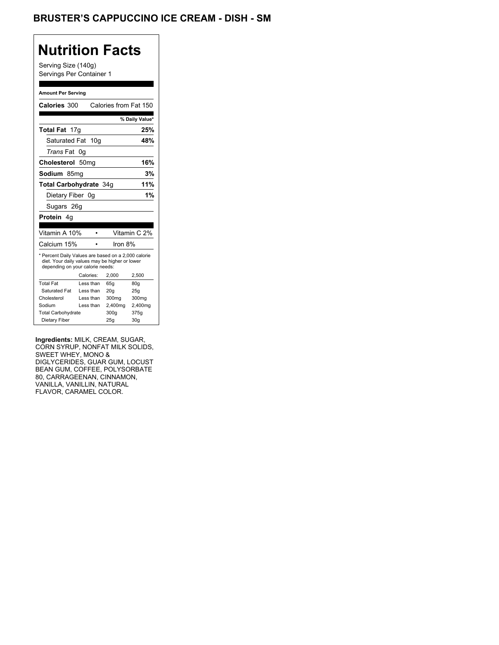### BRUSTER'S CAPPUCCINO ICE CREAM - DISH - SM

## **Nutrition Facts**

Serving Size (140g) Servings Per Container 1

#### **Amount Per Serving**

| Calories 300                                                                                                                              |                  |           | Calories from Fat 150 |                 |
|-------------------------------------------------------------------------------------------------------------------------------------------|------------------|-----------|-----------------------|-----------------|
|                                                                                                                                           |                  |           |                       |                 |
|                                                                                                                                           |                  |           |                       | % Daily Value*  |
| Total Fat 17g                                                                                                                             |                  |           |                       | 25%             |
| Saturated Fat 10g                                                                                                                         |                  |           |                       | 48%             |
| <i>Trans</i> Fat                                                                                                                          | 0g               |           |                       |                 |
| Cholesterol                                                                                                                               | 50 <sub>mq</sub> |           |                       | 16%             |
| Sodium 85ma                                                                                                                               |                  |           |                       | 3%              |
| Total Carbohydrate 34g                                                                                                                    |                  |           | 11%                   |                 |
| Dietary Fiber 0q                                                                                                                          |                  |           |                       | 1%              |
| Sugars 26g                                                                                                                                |                  |           |                       |                 |
| <b>Protein</b> 4q                                                                                                                         |                  |           |                       |                 |
|                                                                                                                                           |                  |           |                       |                 |
| Vitamin A 10%                                                                                                                             |                  |           |                       | Vitamin C 2%    |
| Calcium 15%                                                                                                                               |                  |           | Iron 8%               |                 |
| * Percent Daily Values are based on a 2,000 calorie<br>diet. Your daily values may be higher or lower<br>depending on your calorie needs: |                  |           |                       |                 |
|                                                                                                                                           |                  | Calories: | 2.000                 | 2,500           |
| <b>Total Fat</b>                                                                                                                          |                  | Less than | 65q                   | 80q             |
| Saturated Fat                                                                                                                             |                  | Less than | 20q                   | 25g             |
| Cholesterol                                                                                                                               |                  | Less than | 300mg                 | 300mg           |
| Sodium                                                                                                                                    |                  | Less than | 2,400mg               | 2,400mg         |
| <b>Total Carbohydrate</b>                                                                                                                 |                  |           | 300q                  | 375g            |
| Dietary Fiber                                                                                                                             |                  |           | 25q                   | 30 <sub>g</sub> |

**Ingredients:** MILK, CREAM, SUGAR, CORN SYRUP, NONFAT MILK SOLIDS, SWEET WHEY, MONO & DIGLYCERIDES, GUAR GUM, LOCUST BEAN GUM, COFFEE, POLYSORBATE 80, CARRAGEENAN, CINNAMON, VANILLA, VANILLIN, NATURAL FLAVOR, CARAMEL COLOR.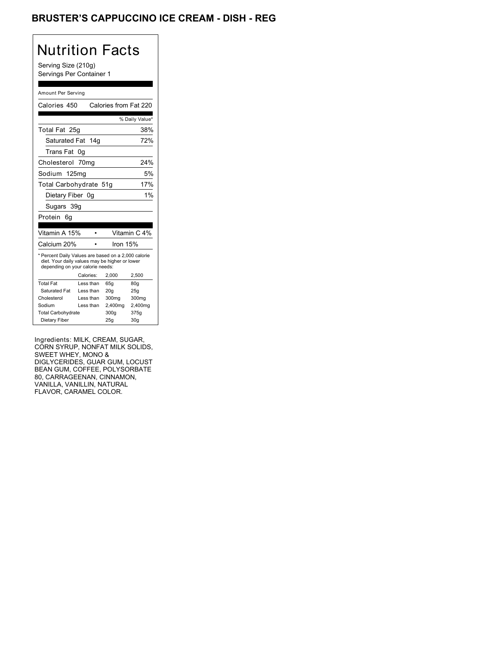### BRUSTER'S CAPPUCCINO ICE CREAM - DISH - REG

| Nutrition Facts<br>Serving Size (210g)<br>Servings Per Container 1                                                                                                       |           |                       |                 |
|--------------------------------------------------------------------------------------------------------------------------------------------------------------------------|-----------|-----------------------|-----------------|
| Amount Per Serving                                                                                                                                                       |           |                       |                 |
| Calories 450                                                                                                                                                             |           | Calories from Fat 220 |                 |
|                                                                                                                                                                          |           |                       | % Daily Value*  |
| Total Fat 25g                                                                                                                                                            |           |                       | 38%             |
| Saturated Fat                                                                                                                                                            | 14a       |                       | 72%             |
| Trans Fat 0g                                                                                                                                                             |           |                       |                 |
| Cholesterol 70mg                                                                                                                                                         |           |                       | 24%             |
| Sodium 125mg                                                                                                                                                             |           |                       | 5%              |
| Total Carbohydrate 51g                                                                                                                                                   |           |                       | 17%             |
| Dietary Fiber 0g                                                                                                                                                         |           |                       | 1%              |
| Sugars 39g                                                                                                                                                               |           |                       |                 |
| Protein<br>6q                                                                                                                                                            |           |                       |                 |
|                                                                                                                                                                          |           |                       |                 |
| Vitamin A 15%                                                                                                                                                            |           |                       | Vitamin C 4%    |
| Calcium 20%                                                                                                                                                              |           | Iron 15%              |                 |
| * Percent Daily Values are based on a 2,000 calorie<br>diet. Your daily values may be higher or lower<br>depending on your calorie needs:<br>Calories:<br>2,000<br>2,500 |           |                       |                 |
| <b>Total Fat</b>                                                                                                                                                         | Less than | 65q                   | 80q             |
| Saturated Fat                                                                                                                                                            | Less than | 20 <sub>g</sub>       | 25g             |
| Cholesterol                                                                                                                                                              | Less than | 300 <sub>mq</sub>     | 300mg           |
| Sodium<br>Less than<br>2,400mg                                                                                                                                           |           |                       | 2,400mg         |
| <b>Total Carbohydrate</b>                                                                                                                                                |           | 300g                  | 375g            |
| Dietary Fiber                                                                                                                                                            |           | 25g                   | 30 <sub>g</sub> |

Ingredients: MILK, CREAM, SUGAR, CORN SYRUP, NONFAT MILK SOLIDS, SWEET WHEY, MONO & DIGLYCERIDES, GUAR GUM, LOCUST BEAN GUM, COFFEE, POLYSORBATE 80, CARRAGEENAN, CINNAMON, VANILLA, VANILLIN, NATURAL FLAVOR, CARAMEL COLOR.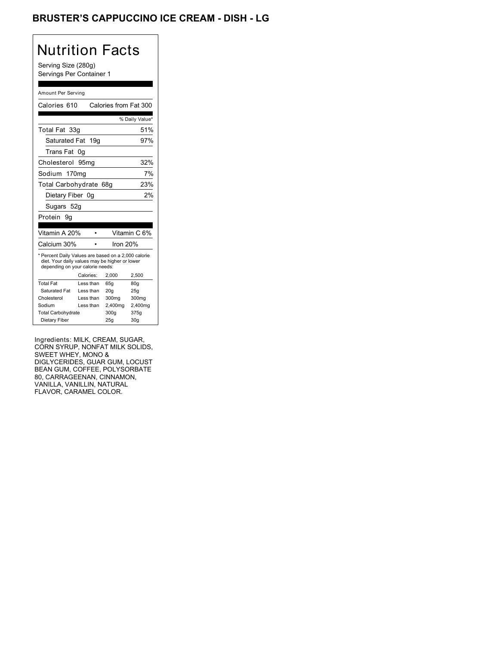### BRUSTER'S CAPPUCCINO ICE CREAM - DISH - LG

| Nutrition Facts<br>Serving Size (280g)<br>Servings Per Container 1                                                                                                       |                        |                 |                       |                   |
|--------------------------------------------------------------------------------------------------------------------------------------------------------------------------|------------------------|-----------------|-----------------------|-------------------|
|                                                                                                                                                                          | Amount Per Serving     |                 |                       |                   |
| Calories 610                                                                                                                                                             |                        |                 | Calories from Fat 300 |                   |
|                                                                                                                                                                          |                        |                 |                       | % Daily Value*    |
| Total Fat 33q                                                                                                                                                            |                        |                 |                       | 51%               |
| Saturated Fat                                                                                                                                                            |                        | 19 <sub>q</sub> |                       | 97%               |
| Trans Fat                                                                                                                                                                | 0g                     |                 |                       |                   |
| Cholesterol 95mg                                                                                                                                                         |                        |                 |                       | 32%               |
| Sodium 170mg                                                                                                                                                             |                        |                 |                       | 7%                |
|                                                                                                                                                                          | Total Carbohydrate 68g |                 |                       | 23%               |
|                                                                                                                                                                          | Dietary Fiber 0g       |                 |                       | 2%                |
| Sugars 52g                                                                                                                                                               |                        |                 |                       |                   |
|                                                                                                                                                                          |                        |                 |                       |                   |
| Protein<br>9g                                                                                                                                                            |                        |                 |                       |                   |
| Vitamin A 20%                                                                                                                                                            |                        | $\bullet$       |                       | Vitamin C 6%      |
| Calcium 30%                                                                                                                                                              |                        |                 | Iron 20%              |                   |
| * Percent Daily Values are based on a 2,000 calorie<br>diet. Your daily values may be higher or lower<br>depending on your calorie needs:<br>Calories:<br>2,000<br>2,500 |                        |                 |                       |                   |
| <b>Total Fat</b>                                                                                                                                                         | Less than              |                 | 65q                   | 80g               |
| Saturated Fat                                                                                                                                                            | Less than              |                 | 20 <sub>g</sub>       | 25g               |
| Cholesterol                                                                                                                                                              | Less than              |                 | 300mg                 | 300 <sub>mq</sub> |
| Sodium                                                                                                                                                                   | Less than              |                 | 2,400mg               | 2,400mg           |
| <b>Total Carbohydrate</b>                                                                                                                                                |                        |                 | 300g                  | 375g              |
| Dietary Fiber                                                                                                                                                            |                        |                 | 25g                   | 30 <sub>q</sub>   |

Ingredients: MILK, CREAM, SUGAR, CORN SYRUP, NONFAT MILK SOLIDS, SWEET WHEY, MONO & DIGLYCERIDES, GUAR GUM, LOCUST BEAN GUM, COFFEE, POLYSORBATE 80, CARRAGEENAN, CINNAMON, VANILLA, VANILLIN, NATURAL FLAVOR, CARAMEL COLOR.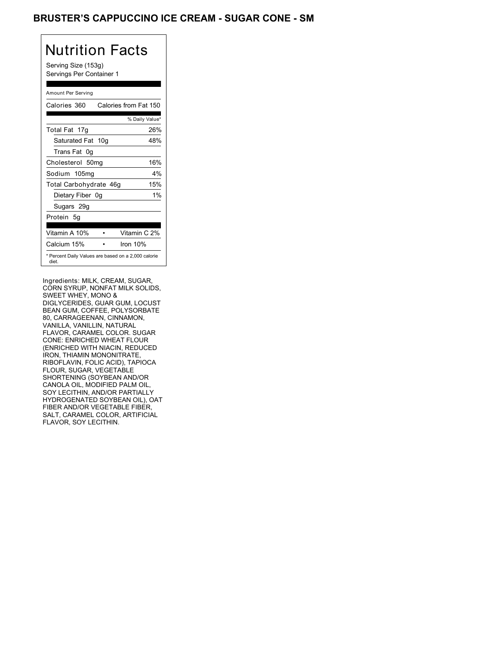### BRUSTER'S CAPPUCCINO ICE CREAM - SUGAR CONE - SM

| Nutrition Facts<br>Serving Size (153g)<br>Servings Per Container 1 |
|--------------------------------------------------------------------|
| Amount Per Serving                                                 |
| Calories from Fat 150<br>Calories 360                              |
| % Daily Value*                                                     |
| 26%<br>Total Fat 17g                                               |
| Saturated Fat 10g<br>48%                                           |
| Trans Fat<br>. Oa                                                  |
| Cholesterol 50mg<br>16%                                            |
| Sodium 105ma<br>$4\%$                                              |
| 15%<br>Total Carbohydrate 46g                                      |
| 1%<br>Dietary Fiber 0g                                             |
| Sugars 29g                                                         |
| Protein 5q                                                         |
| Vitamin A 10%<br>Vitamin C 2%                                      |
| Calcium 15%<br>Iron 10%                                            |
| * Percent Daily Values are based on a 2,000 calorie<br>diet        |

Ingredients: MILK, CREAM, SUGAR, CORN SYRUP, NONFAT MILK SOLIDS, SWEET WHEY, MONO & DIGLYCERIDES, GUAR GUM, LOCUST BEAN GUM, COFFEE, POLYSORBATE 80, CARRAGEENAN, CINNAMON, VANILLA, VANILLIN, NATURAL FLAVOR, CARAMEL COLOR. SUGAR CONE: ENRICHED WHEAT FLOUR (ENRICHED WITH NIACIN, REDUCED IRON, THIAMIN MONONITRATE, RIBOFLAVIN, FOLIC ACID), TAPIOCA FLOUR, SUGAR, VEGETABLE SHORTENING (SOYBEAN AND/OR CANOLA OIL, MODIFIED PALM OIL, SOY LECITHIN, AND/OR PARTIALLY HYDROGENATED SOYBEAN OIL), OAT FIBER AND/OR VEGETABLE FIBER, SALT, CARAMEL COLOR, ARTIFICIAL FLAVOR, SOY LECITHIN.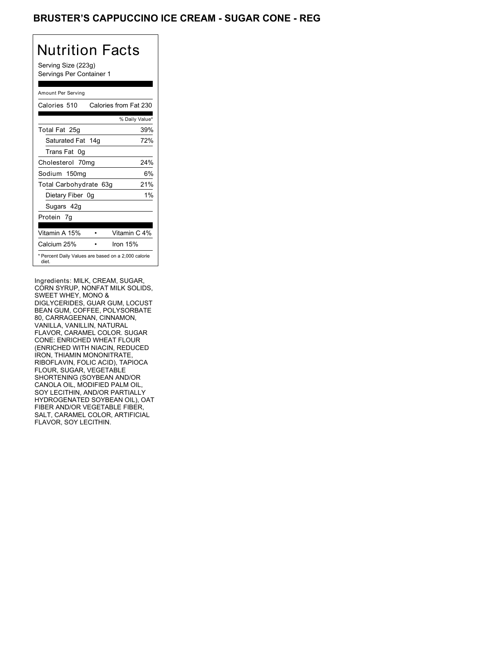#### BRUSTER'S CAPPUCCINO ICE CREAM - SUGAR CONE - REG

| Nutrition Facts                                              |                |
|--------------------------------------------------------------|----------------|
| Serving Size (223g)<br>Servings Per Container 1              |                |
| Amount Per Serving                                           |                |
| Calories from Fat 230<br>Calories 510                        |                |
|                                                              | % Daily Value* |
| Total Fat 25g                                                | 39%            |
| Saturated Fat 14g                                            | 72%            |
| Trans Fat 0q                                                 |                |
| Cholesterol 70mg                                             | 24%            |
| Sodium 150mg                                                 | 6%             |
| Total Carbohydrate 63g                                       | 21%            |
| Dietary Fiber 0g                                             | 1%             |
| Sugars 42g                                                   |                |
| Protein 7q                                                   |                |
| Vitamin A 15%                                                | Vitamin C 4%   |
| Calcium 25%<br>Iron 15%                                      |                |
| * Percent Daily Values are based on a 2,000 calorie<br>diet. |                |

Ingredients: MILK, CREAM, SUGAR, CORN SYRUP, NONFAT MILK SOLIDS, SWEET WHEY, MONO & DIGLYCERIDES, GUAR GUM, LOCUST BEAN GUM, COFFEE, POLYSORBATE 80, CARRAGEENAN, CINNAMON, VANILLA, VANILLIN, NATURAL FLAVOR, CARAMEL COLOR. SUGAR CONE: ENRICHED WHEAT FLOUR (ENRICHED WITH NIACIN, REDUCED IRON, THIAMIN MONONITRATE, RIBOFLAVIN, FOLIC ACID), TAPIOCA FLOUR, SUGAR, VEGETABLE SHORTENING (SOYBEAN AND/OR CANOLA OIL, MODIFIED PALM OIL, SOY LECITHIN, AND/OR PARTIALLY HYDROGENATED SOYBEAN OIL), OAT FIBER AND/OR VEGETABLE FIBER, SALT, CARAMEL COLOR, ARTIFICIAL FLAVOR, SOY LECITHIN.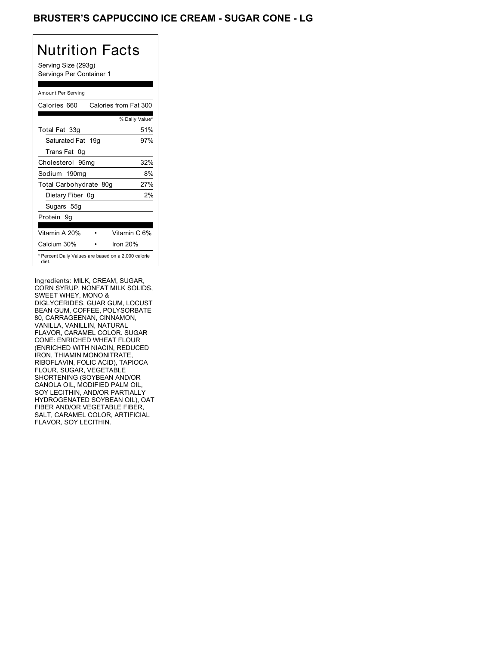### BRUSTER'S CAPPUCCINO ICE CREAM - SUGAR CONE - LG

# Nutrition Facts

Serving Size (293g) Servings Per Container 1

| Amount Per Serving                                           |                       |
|--------------------------------------------------------------|-----------------------|
| Calories 660                                                 | Calories from Fat 300 |
|                                                              | % Daily Value*        |
| Total Fat 33g                                                | 51%                   |
| Saturated Fat 19g                                            | 97%                   |
| Trans Fat 0g                                                 |                       |
| Cholesterol 95mg                                             | 32%                   |
| Sodium 190mg                                                 | 8%                    |
| Total Carbohydrate 80g                                       | 27%                   |
| Dietary Fiber 0g                                             | 2%                    |
| Sugars 55g                                                   |                       |
| Protein 9q                                                   |                       |
| Vitamin A 20%                                                | Vitamin C 6%          |
| Calcium 30%                                                  | Iron 20%              |
| * Percent Daily Values are based on a 2,000 calorie<br>diet. |                       |
|                                                              |                       |

Ingredients: MILK, CREAM, SUGAR, CORN SYRUP, NONFAT MILK SOLIDS, SWEET WHEY, MONO & DIGLYCERIDES, GUAR GUM, LOCUST BEAN GUM, COFFEE, POLYSORBATE 80, CARRAGEENAN, CINNAMON, VANILLA, VANILLIN, NATURAL FLAVOR, CARAMEL COLOR. SUGAR CONE: ENRICHED WHEAT FLOUR (ENRICHED WITH NIACIN, REDUCED IRON, THIAMIN MONONITRATE, RIBOFLAVIN, FOLIC ACID), TAPIOCA FLOUR, SUGAR, VEGETABLE SHORTENING (SOYBEAN AND/OR CANOLA OIL, MODIFIED PALM OIL, SOY LECITHIN, AND/OR PARTIALLY HYDROGENATED SOYBEAN OIL), OAT FIBER AND/OR VEGETABLE FIBER, SALT, CARAMEL COLOR, ARTIFICIAL FLAVOR, SOY LECITHIN.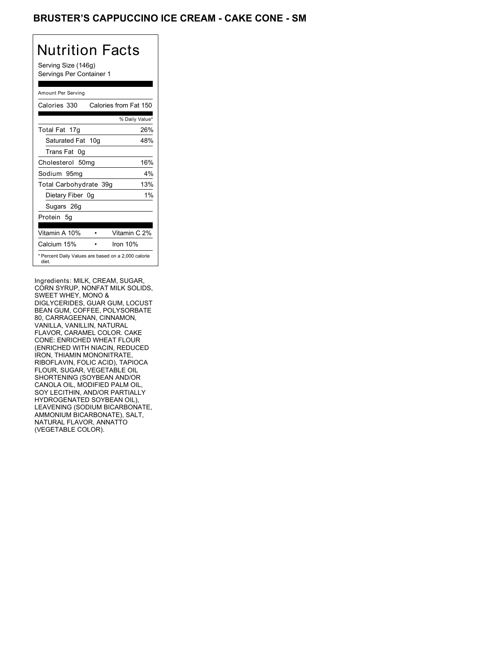### BRUSTER'S CAPPUCCINO ICE CREAM - CAKE CONE - SM

| Nutrition Facts<br>Serving Size (146g)<br>Servings Per Container 1 |                |  |
|--------------------------------------------------------------------|----------------|--|
| Amount Per Serving                                                 |                |  |
| Calories 330<br>Calories from Fat 150                              |                |  |
|                                                                    | % Daily Value* |  |
| Total Fat 17q                                                      | 26%            |  |
| Saturated Fat 10g                                                  | 48%            |  |
| Trans Fat<br>0g                                                    |                |  |
| Cholesterol 50mg                                                   | 16%            |  |
| Sodium 95mg                                                        | 4%             |  |
| Total Carbohydrate 39q                                             | 13%            |  |
| Dietary Fiber 0q                                                   | 1%             |  |
| Sugars 26g                                                         |                |  |
| Protein 5q                                                         |                |  |
| Vitamin A 10%                                                      | Vitamin C 2%   |  |
| Calcium 15%<br>Iron 10%                                            |                |  |
| * Percent Daily Values are based on a 2,000 calorie<br>diet.       |                |  |

Ingredients: MILK, CREAM, SUGAR, CORN SYRUP, NONFAT MILK SOLIDS, SWEET WHEY, MONO & DIGLYCERIDES, GUAR GUM, LOCUST BEAN GUM, COFFEE, POLYSORBATE 80, CARRAGEENAN, CINNAMON, VANILLA, VANILLIN, NATURAL FLAVOR, CARAMEL COLOR. CAKE CONE: ENRICHED WHEAT FLOUR (ENRICHED WITH NIACIN, REDUCED IRON, THIAMIN MONONITRATE, RIBOFLAVIN, FOLIC ACID), TAPIOCA FLOUR, SUGAR, VEGETABLE OIL SHORTENING (SOYBEAN AND/OR CANOLA OIL, MODIFIED PALM OIL, SOY LECITHIN, AND/OR PARTIALLY HYDROGENATED SOYBEAN OIL), LEAVENING (SODIUM BICARBONATE, AMMONIUM BICARBONATE), SALT, NATURAL FLAVOR, ANNATTO (VEGETABLE COLOR).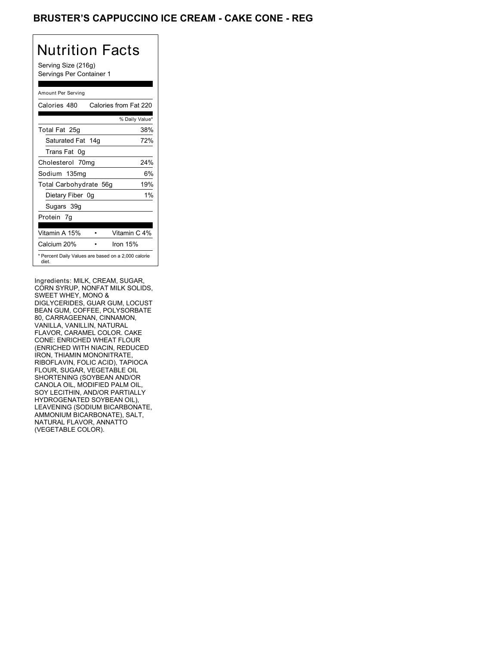### BRUSTER'S CAPPUCCINO ICE CREAM - CAKE CONE - REG

| Nutrition Facts<br>Serving Size (216g)<br>Servings Per Container 1 |                |
|--------------------------------------------------------------------|----------------|
| Amount Per Serving                                                 |                |
| Calories from Fat 220<br>Calories 480                              |                |
|                                                                    | % Daily Value* |
| Total Fat 25g                                                      | 38%            |
| Saturated Fat 14g                                                  | 72%            |
| Trans Fat 0g                                                       |                |
| Cholesterol 70mg                                                   | 24%            |
| Sodium 135mg                                                       | 6%             |
| Total Carbohydrate 56g                                             | 19%            |
| Dietary Fiber 0q                                                   | 1%             |
| Sugars 39g                                                         |                |
| Protein 7q                                                         |                |
| Vitamin A 15%                                                      | Vitamin C 4%   |
| Calcium 20%                                                        | Iron 15%       |

Ingredients: MILK, CREAM, SUGAR, CORN SYRUP, NONFAT MILK SOLIDS, SWEET WHEY, MONO & DIGLYCERIDES, GUAR GUM, LOCUST BEAN GUM, COFFEE, POLYSORBATE 80, CARRAGEENAN, CINNAMON, VANILLA, VANILLIN, NATURAL FLAVOR, CARAMEL COLOR. CAKE CONE: ENRICHED WHEAT FLOUR (ENRICHED WITH NIACIN, REDUCED IRON, THIAMIN MONONITRATE, RIBOFLAVIN, FOLIC ACID), TAPIOCA FLOUR, SUGAR, VEGETABLE OIL SHORTENING (SOYBEAN AND/OR CANOLA OIL, MODIFIED PALM OIL, SOY LECITHIN, AND/OR PARTIALLY HYDROGENATED SOYBEAN OIL), LEAVENING (SODIUM BICARBONATE, AMMONIUM BICARBONATE), SALT, NATURAL FLAVOR, ANNATTO (VEGETABLE COLOR).

\* Percent Daily Values are based on a 2,000 calorie

diet.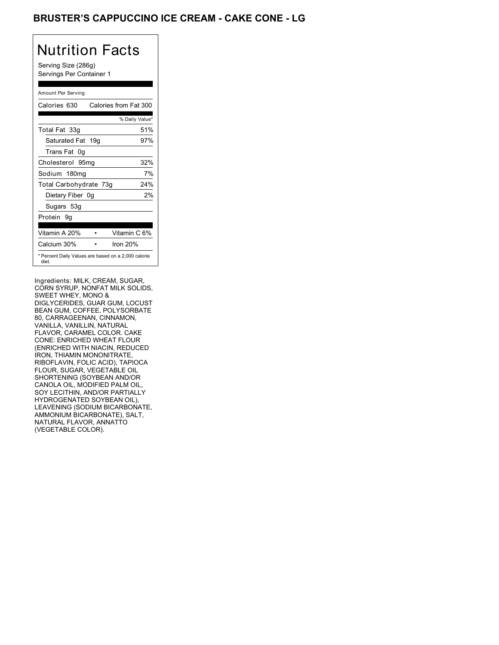### BRUSTER'S CAPPUCCINO ICE CREAM - CAKE CONE - LG

#### Nutrition Facts Serving Size (286g) Servings Per Container 1 Amount Per Serving Calories 630 Calories from Fat 300

|                                                              | % Daily Value* |
|--------------------------------------------------------------|----------------|
| Total Fat 33g                                                | 51%            |
| Saturated Fat 19g                                            | 97%            |
| Trans Fat 0q                                                 |                |
| Cholesterol 95mg                                             | 32%            |
| Sodium 180mg                                                 | 7%             |
| Total Carbohydrate 73g                                       | 24%            |
| Dietary Fiber 0g                                             | 2%             |
| Sugars 53g                                                   |                |
| Protein 9q                                                   |                |
| Vitamin A 20%                                                | Vitamin C 6%   |
| Calcium 30%                                                  | Iron 20%       |
| * Percent Daily Values are based on a 2,000 calorie<br>diet. |                |

Ingredients: MILK, CREAM, SUGAR, CORN SYRUP, NONFAT MILK SOLIDS, SWEET WHEY, MONO & DIGLYCERIDES, GUAR GUM, LOCUST BEAN GUM, COFFEE, POLYSORBATE 80, CARRAGEENAN, CINNAMON, VANILLA, VANILLIN, NATURAL FLAVOR, CARAMEL COLOR. CAKE CONE: ENRICHED WHEAT FLOUR (ENRICHED WITH NIACIN, REDUCED IRON, THIAMIN MONONITRATE, RIBOFLAVIN, FOLIC ACID), TAPIOCA FLOUR, SUGAR, VEGETABLE OIL SHORTENING (SOYBEAN AND/OR CANOLA OIL, MODIFIED PALM OIL, SOY LECITHIN, AND/OR PARTIALLY HYDROGENATED SOYBEAN OIL), LEAVENING (SODIUM BICARBONATE, AMMONIUM BICARBONATE), SALT, NATURAL FLAVOR, ANNATTO (VEGETABLE COLOR).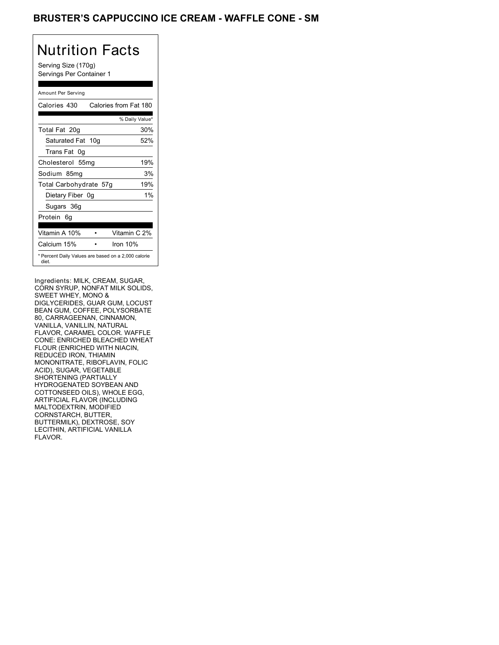#### BRUSTER'S CAPPUCCINO ICE CREAM - WAFFLE CONE - SM

# Nutrition Facts

Serving Size (170g) Servings Per Container 1

| Amount Per Serving                                           |    |                       |
|--------------------------------------------------------------|----|-----------------------|
| Calories 430                                                 |    | Calories from Fat 180 |
|                                                              |    | % Daily Value*        |
| Total Fat 20g                                                |    | 30%                   |
| Saturated Fat 10g                                            |    | 52%                   |
| Trans Fat<br>0a                                              |    |                       |
| Cholesterol 55mg                                             |    | 19%                   |
| Sodium 85mg                                                  |    | 3%                    |
| Total Carbohydrate 57g                                       |    | 19%                   |
| Dietary Fiber                                                | 0g | 1%                    |
| Sugars 36g                                                   |    |                       |
| Protein<br>6g                                                |    |                       |
|                                                              |    |                       |
| Vitamin A 10%                                                |    | Vitamin C 2%          |
| Calcium 15%                                                  |    | Iron 10%              |
| * Percent Daily Values are based on a 2,000 calorie<br>diet. |    |                       |

Ingredients: MILK, CREAM, SUGAR, CORN SYRUP, NONFAT MILK SOLIDS, SWEET WHEY, MONO & DIGLYCERIDES, GUAR GUM, LOCUST BEAN GUM, COFFEE, POLYSORBATE 80, CARRAGEENAN, CINNAMON, VANILLA, VANILLIN, NATURAL FLAVOR, CARAMEL COLOR. WAFFLE CONE: ENRICHED BLEACHED WHEAT FLOUR (ENRICHED WITH NIACIN, REDUCED IRON, THIAMIN MONONITRATE, RIBOFLAVIN, FOLIC ACID), SUGAR, VEGETABLE SHORTENING (PARTIALLY HYDROGENATED SOYBEAN AND COTTONSEED OILS), WHOLE EGG, ARTIFICIAL FLAVOR (INCLUDING MALTODEXTRIN, MODIFIED CORNSTARCH, BUTTER, BUTTERMILK), DEXTROSE, SOY LECITHIN, ARTIFICIAL VANILLA FLAVOR.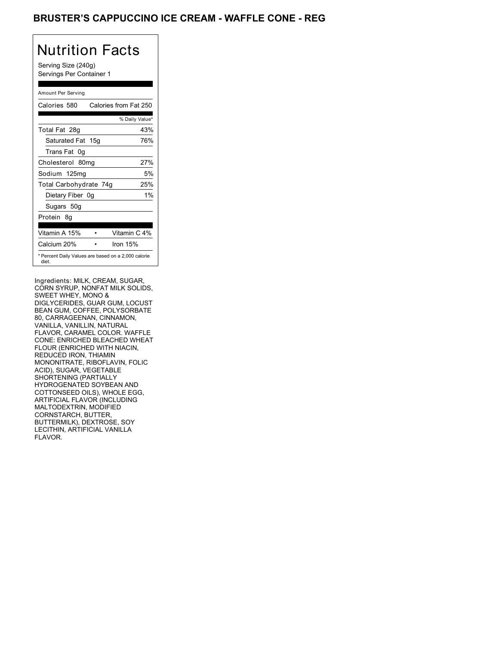#### BRUSTER'S CAPPUCCINO ICE CREAM - WAFFLE CONE - REG

| Nutrition Facts                                 |
|-------------------------------------------------|
| Serving Size (240g)<br>Servings Per Container 1 |
|                                                 |
|                                                 |
| Calories from Fat 250                           |
| % Daily Value*                                  |
| 43%                                             |
| Saturated Fat<br>76%<br>15a                     |
|                                                 |

| Trans Fat 0q           |                                                     |
|------------------------|-----------------------------------------------------|
| Cholesterol 80mg       | 27%                                                 |
| Sodium 125mg           | 5%                                                  |
| Total Carbohydrate 74g | 25%                                                 |
| Dietary Fiber 0g       | 1%                                                  |
| Sugars 50g             |                                                     |
| Protein 8q             |                                                     |
|                        |                                                     |
| Vitamin A 15%          | Vitamin C 4%                                        |
| Calcium 20%            | Iron 15%                                            |
| diet.                  | * Percent Daily Values are based on a 2,000 calorie |

Ingredients: MILK, CREAM, SUGAR, CORN SYRUP, NONFAT MILK SOLIDS, SWEET WHEY, MONO & DIGLYCERIDES, GUAR GUM, LOCUST BEAN GUM, COFFEE, POLYSORBATE 80, CARRAGEENAN, CINNAMON, VANILLA, VANILLIN, NATURAL FLAVOR, CARAMEL COLOR. WAFFLE CONE: ENRICHED BLEACHED WHEAT FLOUR (ENRICHED WITH NIACIN, REDUCED IRON, THIAMIN MONONITRATE, RIBOFLAVIN, FOLIC ACID), SUGAR, VEGETABLE SHORTENING (PARTIALLY HYDROGENATED SOYBEAN AND COTTONSEED OILS), WHOLE EGG, ARTIFICIAL FLAVOR (INCLUDING MALTODEXTRIN, MODIFIED CORNSTARCH, BUTTER, BUTTERMILK), DEXTROSE, SOY LECITHIN, ARTIFICIAL VANILLA FLAVOR.